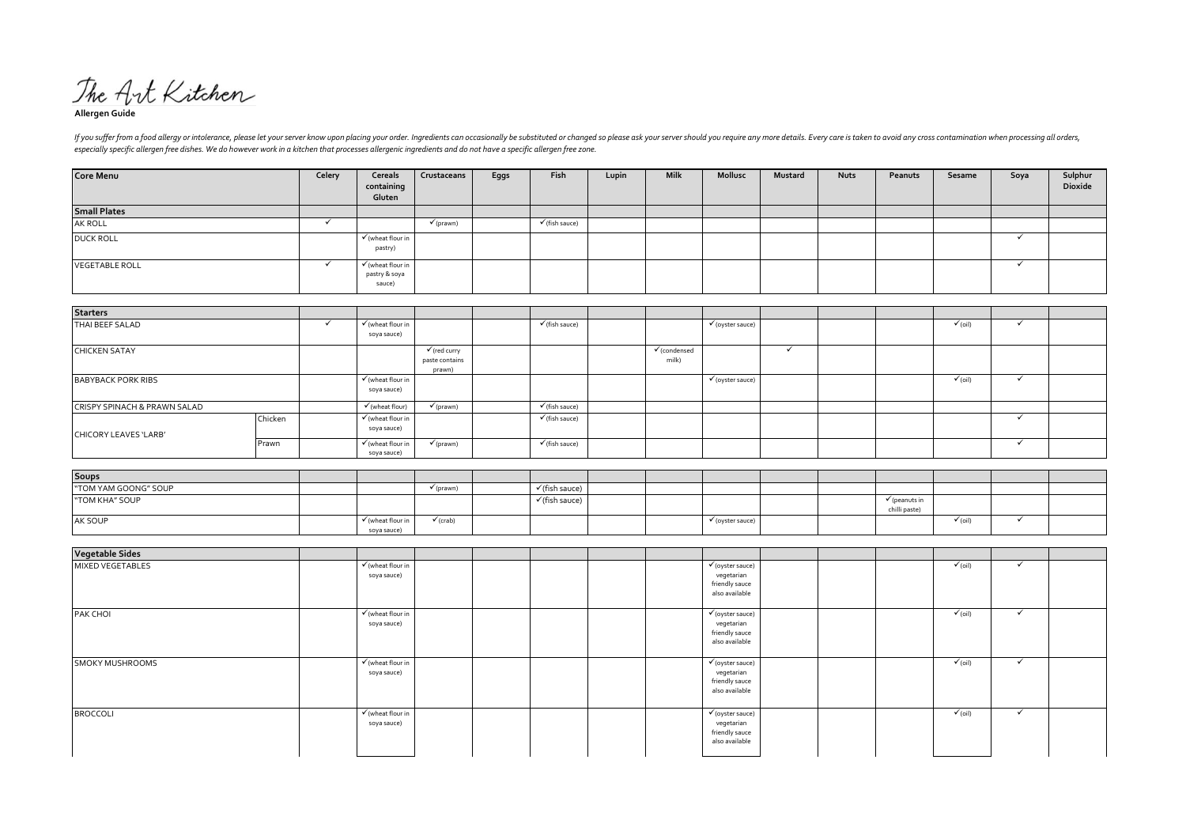The Art Kitchen

**Allergen Guide**

If you suffer from a food allergy or intolerance, please let your server know upon placing your order. Ingredients can occasionally be substituted or changed so please ask your server should you require any more details. E *especially specific allergen free dishes. We do however work in a kitchen that processes allergenic ingredients and do not have a specific allergen free zone.*

| <b>Core Menu</b>      | Celery | Cereals<br>containing<br>Gluten                         | Crustaceans          | Eggs | Fish                      | Lupin | Milk | Mollusc | Mustard | <b>Nuts</b> | Peanuts | Sesame | Soya | Sulphur<br>Dioxide |
|-----------------------|--------|---------------------------------------------------------|----------------------|------|---------------------------|-------|------|---------|---------|-------------|---------|--------|------|--------------------|
| <b>Small Plates</b>   |        |                                                         |                      |      |                           |       |      |         |         |             |         |        |      |                    |
| AK ROLL               |        |                                                         | $\checkmark$ (prawn) |      | $\checkmark$ (fish sauce) |       |      |         |         |             |         |        |      |                    |
| <b>DUCK ROLL</b>      |        | $\checkmark$ (wheat flour in<br>pastry)                 |                      |      |                           |       |      |         |         |             |         |        |      |                    |
| <b>VEGETABLE ROLL</b> |        | $\checkmark$ (wheat flour in<br>pastry & soya<br>sauce) |                      |      |                           |       |      |         |         |             |         |        |      |                    |

| <b>Starters</b>                         |         |                                             |                                                     |                           |                                  |                             |  |                    |  |
|-----------------------------------------|---------|---------------------------------------------|-----------------------------------------------------|---------------------------|----------------------------------|-----------------------------|--|--------------------|--|
| THAI BEEF SALAD                         |         | $\checkmark$ (wheat flour in<br>soya sauce) |                                                     | $\checkmark$ (fish sauce) |                                  | $\checkmark$ (oyster sauce) |  | $\checkmark$ (oil) |  |
| <b>CHICKEN SATAY</b>                    |         |                                             | $\checkmark$ (red curry<br>paste contains<br>prawn) |                           | $\checkmark$ (condensed<br>milk) |                             |  |                    |  |
| <b>BABYBACK PORK RIBS</b>               |         | $\checkmark$ (wheat flour in<br>soya sauce) |                                                     |                           |                                  | $\checkmark$ (oyster sauce) |  | $\checkmark$ (oil) |  |
| <b>CRISPY SPINACH &amp; PRAWN SALAD</b> |         | $\checkmark$ (wheat flour)                  | $\checkmark$ (prawn)                                | $\checkmark$ (fish sauce) |                                  |                             |  |                    |  |
| CHICORY LEAVES 'LARB'                   | Chicken | $\checkmark$ (wheat flour in<br>soya sauce) |                                                     | $\checkmark$ (fish sauce) |                                  |                             |  |                    |  |
|                                         | Prawn   | $\checkmark$ (wheat flour in<br>soya sauce) | $\checkmark$ (prawn)                                | $\checkmark$ (fish sauce) |                                  |                             |  |                    |  |

| <b>Soups</b>         |                              |                      |                           |                              |                          |  |
|----------------------|------------------------------|----------------------|---------------------------|------------------------------|--------------------------|--|
| "TOM YAM GOONG" SOUP |                              | $\checkmark$ (prawn) | $\checkmark$ (fish sauce) |                              |                          |  |
| "TOM KHA" SOUP       |                              |                      | $\checkmark$ (fish sauce) |                              | $\checkmark$ (peanuts in |  |
|                      |                              |                      |                           |                              | chilli paste)            |  |
| AK SOUP              | $\checkmark$ (wheat flour in | $\checkmark$ (crab)  |                           | $\checkmark$ (oyster sauce), | $\checkmark$ (oil)       |  |
|                      | soya sauce)                  |                      |                           |                              |                          |  |

| <b>Vegetable Sides</b> |                                             |  |                                                                               |  |                    |              |  |
|------------------------|---------------------------------------------|--|-------------------------------------------------------------------------------|--|--------------------|--------------|--|
| MIXED VEGETABLES       | $\checkmark$ (wheat flour in<br>soya sauce) |  | $\checkmark$ (oyster sauce)<br>vegetarian<br>friendly sauce<br>also available |  | $\checkmark$ (oil) | $\checkmark$ |  |
| PAK CHOI               | $\checkmark$ (wheat flour in<br>soya sauce) |  | $\checkmark$ (oyster sauce)<br>vegetarian<br>friendly sauce<br>also available |  | $\checkmark$ (oil) | $\checkmark$ |  |
| <b>SMOKY MUSHROOMS</b> | $\checkmark$ (wheat flour in<br>soya sauce) |  | $\checkmark$ (oyster sauce)<br>vegetarian<br>friendly sauce<br>also available |  | $\checkmark$ (oil) | $\checkmark$ |  |
| <b>BROCCOLI</b>        | √ (wheat flour in<br>soya sauce)            |  | $\checkmark$ (oyster sauce)<br>vegetarian<br>friendly sauce<br>also available |  | $\checkmark$ (oil) | $\checkmark$ |  |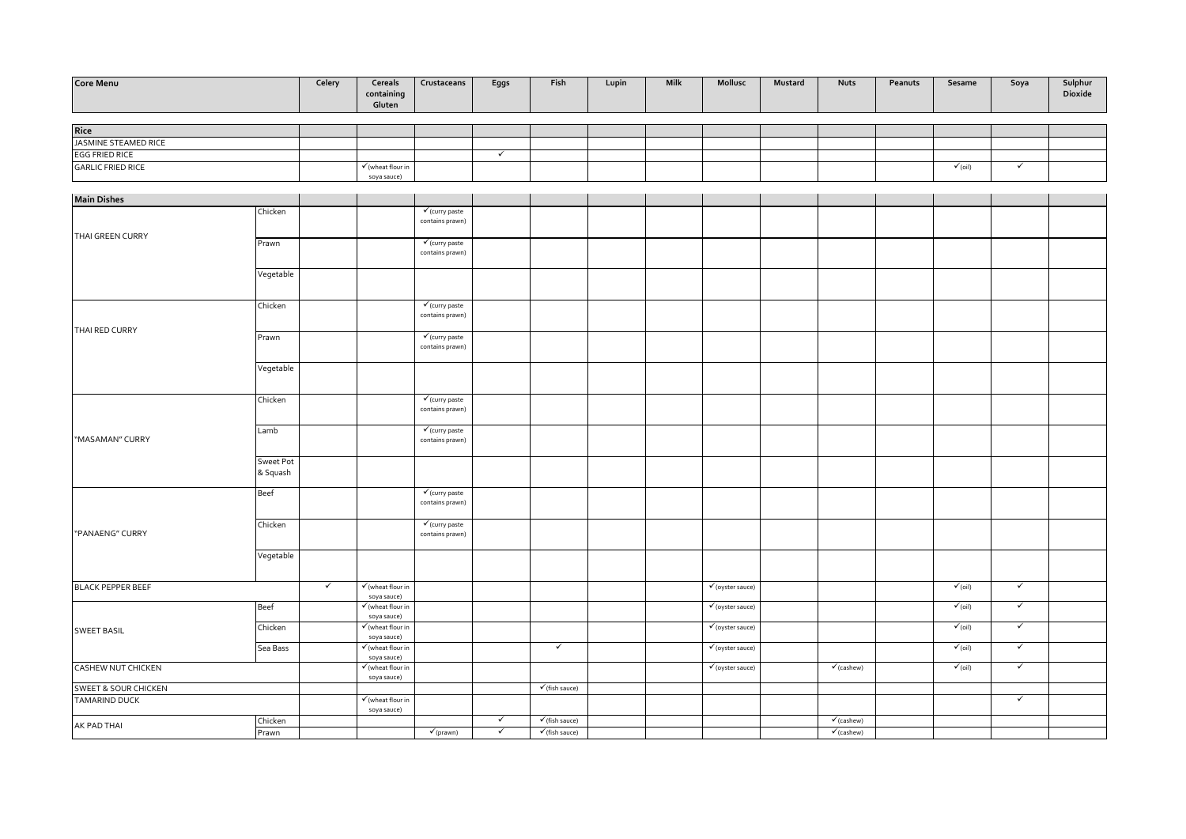| Core Menu                    |                  | Celery       | Cereals<br>containing<br>Gluten                     | Crustaceans                                  | Eggs         | Fish                      | Lupin | <b>Milk</b> | Mollusc                       | Mustard | <b>Nuts</b>           | Peanuts | Sesame             | Soya                    | Sulphur<br>Dioxide |
|------------------------------|------------------|--------------|-----------------------------------------------------|----------------------------------------------|--------------|---------------------------|-------|-------------|-------------------------------|---------|-----------------------|---------|--------------------|-------------------------|--------------------|
|                              |                  |              |                                                     |                                              |              |                           |       |             |                               |         |                       |         |                    |                         |                    |
| Rice<br>JASMINE STEAMED RICE |                  |              |                                                     |                                              |              |                           |       |             |                               |         |                       |         |                    |                         |                    |
| <b>EGG FRIED RICE</b>        |                  |              |                                                     |                                              | $\checkmark$ |                           |       |             |                               |         |                       |         |                    |                         |                    |
| <b>GARLIC FRIED RICE</b>     |                  |              | $\checkmark$ (wheat flour in                        |                                              |              |                           |       |             |                               |         |                       |         | $\checkmark$ (oil) | $\checkmark$            |                    |
|                              |                  |              | soya sauce)                                         |                                              |              |                           |       |             |                               |         |                       |         |                    |                         |                    |
| <b>Main Dishes</b>           |                  |              |                                                     |                                              |              |                           |       |             |                               |         |                       |         |                    |                         |                    |
|                              | Chicken          |              |                                                     | $\checkmark$ (curry paste                    |              |                           |       |             |                               |         |                       |         |                    |                         |                    |
|                              |                  |              |                                                     | contains prawn)                              |              |                           |       |             |                               |         |                       |         |                    |                         |                    |
| THAI GREEN CURRY             | Prawn            |              |                                                     | $\checkmark$ (curry paste                    |              |                           |       |             |                               |         |                       |         |                    |                         |                    |
|                              |                  |              |                                                     | contains prawn)                              |              |                           |       |             |                               |         |                       |         |                    |                         |                    |
|                              |                  |              |                                                     |                                              |              |                           |       |             |                               |         |                       |         |                    |                         |                    |
|                              | Vegetable        |              |                                                     |                                              |              |                           |       |             |                               |         |                       |         |                    |                         |                    |
|                              |                  |              |                                                     |                                              |              |                           |       |             |                               |         |                       |         |                    |                         |                    |
|                              | Chicken          |              |                                                     | $\checkmark$ (curry paste<br>contains prawn) |              |                           |       |             |                               |         |                       |         |                    |                         |                    |
|                              |                  |              |                                                     |                                              |              |                           |       |             |                               |         |                       |         |                    |                         |                    |
| THAI RED CURRY               | Prawn            |              |                                                     | $\checkmark$ (curry paste                    |              |                           |       |             |                               |         |                       |         |                    |                         |                    |
|                              |                  |              |                                                     | contains prawn)                              |              |                           |       |             |                               |         |                       |         |                    |                         |                    |
|                              | Vegetable        |              |                                                     |                                              |              |                           |       |             |                               |         |                       |         |                    |                         |                    |
|                              |                  |              |                                                     |                                              |              |                           |       |             |                               |         |                       |         |                    |                         |                    |
|                              | Chicken          |              |                                                     | $\checkmark$ (curry paste                    |              |                           |       |             |                               |         |                       |         |                    |                         |                    |
|                              |                  |              |                                                     | contains prawn)                              |              |                           |       |             |                               |         |                       |         |                    |                         |                    |
|                              |                  |              |                                                     |                                              |              |                           |       |             |                               |         |                       |         |                    |                         |                    |
| "MASAMAN" CURRY              | Lamb             |              |                                                     | $\checkmark$ (curry paste<br>contains prawn) |              |                           |       |             |                               |         |                       |         |                    |                         |                    |
|                              |                  |              |                                                     |                                              |              |                           |       |             |                               |         |                       |         |                    |                         |                    |
|                              | <b>Sweet Pot</b> |              |                                                     |                                              |              |                           |       |             |                               |         |                       |         |                    |                         |                    |
|                              | & Squash         |              |                                                     |                                              |              |                           |       |             |                               |         |                       |         |                    |                         |                    |
|                              | Beef             |              |                                                     | $\checkmark$ (curry paste                    |              |                           |       |             |                               |         |                       |         |                    |                         |                    |
|                              |                  |              |                                                     | contains prawn)                              |              |                           |       |             |                               |         |                       |         |                    |                         |                    |
|                              | Chicken          |              |                                                     | $\checkmark$ (curry paste                    |              |                           |       |             |                               |         |                       |         |                    |                         |                    |
| "PANAENG" CURRY              |                  |              |                                                     | contains prawn)                              |              |                           |       |             |                               |         |                       |         |                    |                         |                    |
|                              | Vegetable        |              |                                                     |                                              |              |                           |       |             |                               |         |                       |         |                    |                         |                    |
|                              |                  |              |                                                     |                                              |              |                           |       |             |                               |         |                       |         |                    |                         |                    |
| <b>BLACK PEPPER BEEF</b>     |                  | $\checkmark$ | $\checkmark$ (wheat flour in                        |                                              |              |                           |       |             | $\checkmark$ (oyster sauce)   |         |                       |         | $\checkmark$ (oil) | $\checkmark$            |                    |
|                              |                  |              | soya sauce)                                         |                                              |              |                           |       |             |                               |         |                       |         |                    |                         |                    |
|                              | Beef             |              | $\checkmark$ (wheat flour in                        |                                              |              |                           |       |             | $\checkmark$ (oyster sauce)   |         |                       |         | $\checkmark$ (oil) | $\checkmark$            |                    |
|                              | Chicken          |              | soya sauce)<br>$\checkmark$ (wheat flour in         |                                              |              |                           |       |             | $\checkmark$ (oyster sauce)   |         |                       |         | $\sqrt{1}$ (oil)   | $\checkmark$            |                    |
| <b>SWEET BASIL</b>           |                  |              | soya sauce)                                         |                                              |              |                           |       |             |                               |         |                       |         |                    |                         |                    |
|                              | Sea Bass         |              | $\checkmark$ (wheat flour in                        |                                              |              | $\checkmark$              |       |             | $\checkmark$ (oyster sauce)   |         |                       |         | $\checkmark$ (oil) | $\checkmark$            |                    |
| CASHEW NUT CHICKEN           |                  |              | soya sauce)<br>$\sqrt{\frac{1}{2}}$ (wheat flour in |                                              |              |                           |       |             | $\sqrt{\text{(oyster save)}}$ |         | $\checkmark$ (cashew) |         | $\checkmark$ (oil) | $\overline{\checkmark}$ |                    |
|                              |                  |              | soya sauce)                                         |                                              |              |                           |       |             |                               |         |                       |         |                    |                         |                    |
| SWEET & SOUR CHICKEN         |                  |              |                                                     |                                              |              | $\checkmark$ (fish sauce) |       |             |                               |         |                       |         |                    | $\checkmark$            |                    |
| <b>TAMARIND DUCK</b>         |                  |              | $\checkmark$ (wheat flour in<br>soya sauce)         |                                              |              |                           |       |             |                               |         |                       |         |                    |                         |                    |
| AK PAD THAI                  | Chicken          |              |                                                     |                                              | $\checkmark$ | $\checkmark$ (fish sauce) |       |             |                               |         | $\checkmark$ (cashew) |         |                    |                         |                    |
|                              | Prawn            |              |                                                     | $\checkmark$ (prawn)                         | $\checkmark$ | $\checkmark$ (fish sauce) |       |             |                               |         | $\checkmark$ (cashew) |         |                    |                         |                    |